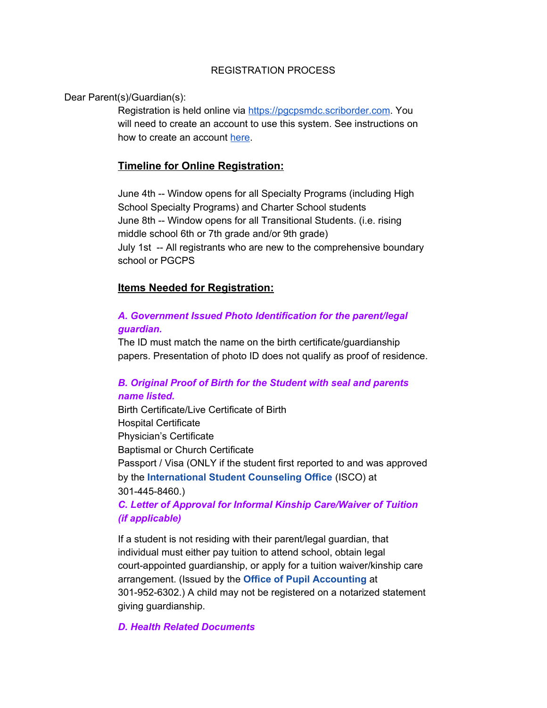### REGISTRATION PROCESS

Dear Parent(s)/Guardian(s):

Registration is held online via [https://pgcpsmdc.scriborder.com](https://pgcpsmdc.scriborder.com/). You will need to create an account to use this system. See instructions on how to create an account [here.](https://whatsnew.scribsoft.com/en/articles/3921932-setting-up-your-family-dashboard)

# **Timeline for Online Registration:**

June 4th -- Window opens for all Specialty Programs (including High School Specialty Programs) and Charter School students June 8th -- Window opens for all Transitional Students. (i.e. rising middle school 6th or 7th grade and/or 9th grade) July 1st -- All registrants who are new to the comprehensive boundary school or PGCPS

## **Items Needed for Registration:**

# *A. Government Issued Photo Identification for the parent/legal guardian.*

The ID must match the name on the birth certificate/guardianship papers. Presentation of photo ID does not qualify as proof of residence.

# *B. Original Proof of Birth for the Student with seal and parents name listed.*

Birth Certificate/Live Certificate of Birth Hospital Certificate Physician's Certificate Baptismal or Church Certificate Passport / Visa (ONLY if the student first reported to and was approved by the **[International](https://www.pgcps.org/internationalstudentcounseling/) Student Counseling Office** (ISCO) at 301-445-8460.)

## *C. Letter of Approval for Informal Kinship Care/Waiver of Tuition (if applicable)*

If a student is not residing with their parent/legal guardian, that individual must either pay tuition to attend school, obtain legal court-appointed guardianship, or apply for a tuition waiver/kinship care arrangement. (Issued by the **Office of Pupil [Accounting](https://www.pgcps.org/pasb/index.aspx?id=20168)** at 301-952-6302.) A child may not be registered on a notarized statement giving guardianship.

### *D. Health Related Documents*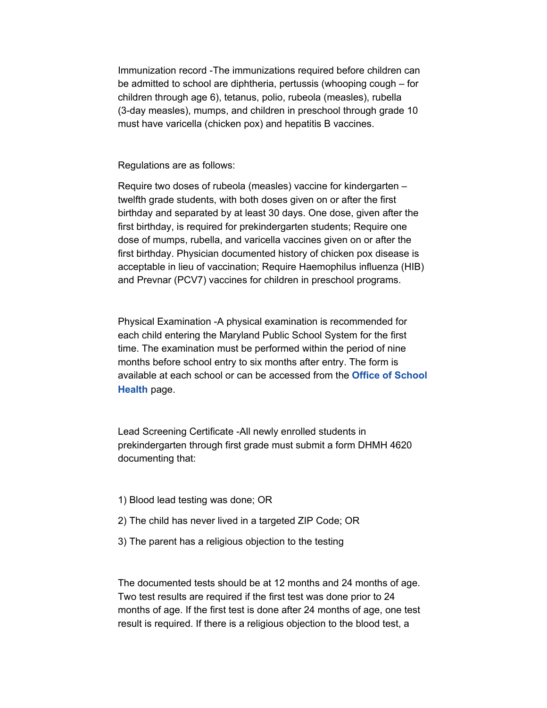Immunization record -The immunizations required before children can be admitted to school are diphtheria, pertussis (whooping cough – for children through age 6), tetanus, polio, rubeola (measles), rubella (3-day measles), mumps, and children in preschool through grade 10 must have varicella (chicken pox) and hepatitis B vaccines.

Regulations are as follows:

Require two doses of rubeola (measles) vaccine for kindergarten – twelfth grade students, with both doses given on or after the first birthday and separated by at least 30 days. One dose, given after the first birthday, is required for prekindergarten students; Require one dose of mumps, rubella, and varicella vaccines given on or after the first birthday. Physician documented history of chicken pox disease is acceptable in lieu of vaccination; Require Haemophilus influenza (HIB) and Prevnar (PCV7) vaccines for children in preschool programs.

Physical Examination -A physical examination is recommended for each child entering the Maryland Public School System for the first time. The examination must be performed within the period of nine months before school entry to six months after entry. The form is available at each school or can be accessed from the **Office of [School](https://www.pgcps.org/health-forms/) [Health](https://www.pgcps.org/health-forms/)** page.

Lead Screening Certificate -All newly enrolled students in prekindergarten through first grade must submit a form DHMH 4620 documenting that:

- 1) Blood lead testing was done; OR
- 2) The child has never lived in a targeted ZIP Code; OR
- 3) The parent has a religious objection to the testing

The documented tests should be at 12 months and 24 months of age. Two test results are required if the first test was done prior to 24 months of age. If the first test is done after 24 months of age, one test result is required. If there is a religious objection to the blood test, a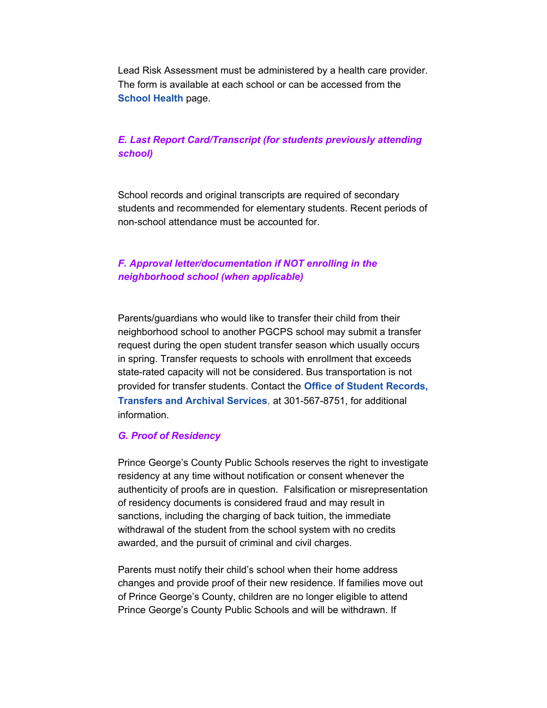Lead Risk Assessment must be administered by a health care provider. The form is available at each school or can be accessed from the **[School](https://www.pgcps.org/schoolhealth/) Health** page.

## *E. Last Report Card/Transcript (for students previously attending school)*

School records and original transcripts are required of secondary students and recommended for elementary students. Recent periods of non-school attendance must be accounted for.

## *F. Approval letter/documentation if NOT enrolling in the neighborhood school (when applicable)*

Parents/guardians who would like to transfer their child from their neighborhood school to another PGCPS school may submit a transfer request during the open student transfer season which usually occurs in spring. Transfer requests to schools with enrollment that exceeds state-rated capacity will not be considered. Bus transportation is not provided for transfer students. Contact the **Office of Student [Records,](https://www.pgcps.org/studentrecordsandtransfers/) [Transfers](https://www.pgcps.org/studentrecordsandtransfers/) and Archival Services**, at 301-567-8751, for additional information.

#### *G. Proof of Residency*

Prince George's County Public Schools reserves the right to investigate residency at any time without notification or consent whenever the authenticity of proofs are in question. Falsification or misrepresentation of residency documents is considered fraud and may result in sanctions, including the charging of back tuition, the immediate withdrawal of the student from the school system with no credits awarded, and the pursuit of criminal and civil charges.

Parents must notify their child's school when their home address changes and provide proof of their new residence. If families move out of Prince George's County, children are no longer eligible to attend Prince George's County Public Schools and will be withdrawn. If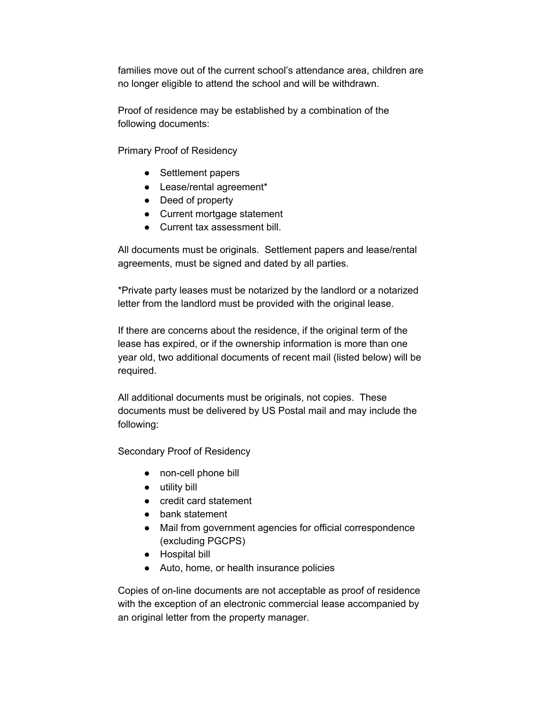families move out of the current school's attendance area, children are no longer eligible to attend the school and will be withdrawn.

Proof of residence may be established by a combination of the following documents:

Primary Proof of Residency

- Settlement papers
- Lease/rental agreement\*
- Deed of property
- Current mortgage statement
- Current tax assessment bill.

All documents must be originals. Settlement papers and lease/rental agreements, must be signed and dated by all parties.

\*Private party leases must be notarized by the landlord or a notarized letter from the landlord must be provided with the original lease.

If there are concerns about the residence, if the original term of the lease has expired, or if the ownership information is more than one year old, two additional documents of recent mail (listed below) will be required.

All additional documents must be originals, not copies. These documents must be delivered by US Postal mail and may include the following:

Secondary Proof of Residency

- non-cell phone bill
- utility bill
- credit card statement
- bank statement
- Mail from government agencies for official correspondence (excluding PGCPS)
- Hospital bill
- Auto, home, or health insurance policies

Copies of on-line documents are not acceptable as proof of residence with the exception of an electronic commercial lease accompanied by an original letter from the property manager.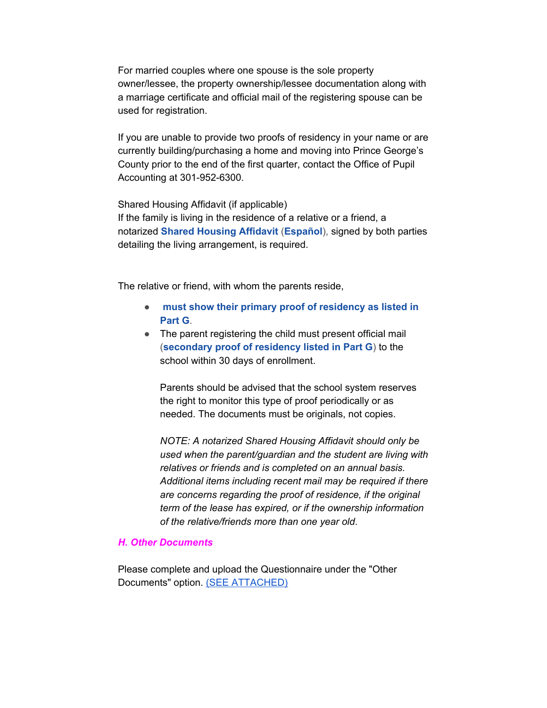For married couples where one spouse is the sole property owner/lessee, the property ownership/lessee documentation along with a marriage certificate and official mail of the registering spouse can be used for registration.

If you are unable to provide two proofs of residency in your name or are currently building/purchasing a home and moving into Prince George's County prior to the end of the first quarter, contact the Office of Pupil Accounting at 301-952-6300.

Shared Housing Affidavit (if applicable) If the family is living in the residence of a relative or a friend, a notarized **Shared [Housing](http://ektron.pgcps.org/WorkArea/DownloadAsset.aspx?id=171818) Affidavit** (**[Español](http://ektron.pgcps.org/WorkArea/DownloadAsset.aspx?id=171819)**), signed by both parties detailing the living arrangement, is required.

The relative or friend, with whom the parents reside,

- **must show their primary proof of [residency](https://www.pgcps.org/registration/#G) as listed in [Part](https://www.pgcps.org/registration/#G) G**.
- The parent registering the child must present official mail (**[secondary](https://www.pgcps.org/registration/#G) proof of residency listed in Part G**) to the school within 30 days of enrollment.

Parents should be advised that the school system reserves the right to monitor this type of proof periodically or as needed. The documents must be originals, not copies.

*NOTE: A notarized Shared Housing Affidavit should only be used when the parent/guardian and the student are living with relatives or friends and is completed on an annual basis. Additional items including recent mail may be required if there are concerns regarding the proof of residence, if the original term of the lease has expired, or if the ownership information of the relative/friends more than one year old*.

#### *H. Other Documents*

Please complete and upload the Questionnaire under the "Other Documents" option. (SEE [ATTACHED\)](https://mail.google.com/mail/u/0?ui=2&ik=cde8c11bb2&attid=0.1&permmsgid=msg-f:1676100585585581075&th=1742b49a2ba71c13&view=att&disp=inline&realattid=173c4a4bae948f04071)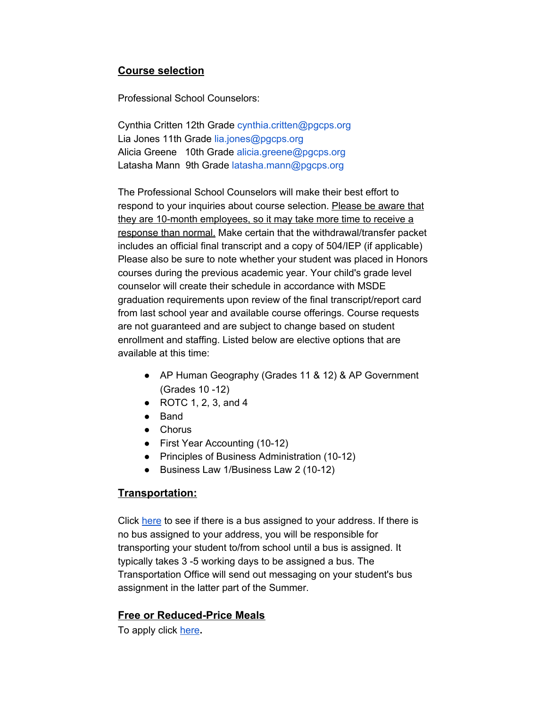# **Course selection**

Professional School Counselors:

Cynthia Critten 12th Grade cynthia.critten@pgcps.org Lia Jones 11th Grade lia.jones@pgcps.org Alicia Greene 10th Grade alicia.greene@pgcps.org Latasha Mann 9th Grade latasha.mann@pgcps.org

The Professional School Counselors will make their best effort to respond to your inquiries about course selection. Please be aware that they are 10-month employees, so it may take more time to receive a response than normal. Make certain that the withdrawal/transfer packet includes an official final transcript and a copy of 504/IEP (if applicable) Please also be sure to note whether your student was placed in Honors courses during the previous academic year. Your child's grade level counselor will create their schedule in accordance with MSDE graduation requirements upon review of the final transcript/report card from last school year and available course offerings. Course requests are not guaranteed and are subject to change based on student enrollment and staffing. Listed below are elective options that are available at this time:

- AP Human Geography (Grades 11 & 12) & AP Government (Grades 10 -12)
- ROTC 1, 2, 3, and 4
- Band
- Chorus
- First Year Accounting (10-12)
- Principles of Business Administration (10-12)
- Business Law 1/Business Law 2 (10-12)

## **Transportation:**

Click [here](http://busstops.pgcps.org/Public/default.aspx?load=addressInput&skipPlan=true) to see if there is a bus assigned to your address. If there is no bus assigned to your address, you will be responsible for transporting your student to/from school until a bus is assigned. It typically takes 3 -5 working days to be assigned a bus. The Transportation Office will send out messaging on your student's bus assignment in the latter part of the Summer.

## **Free or Reduced-Price Meals**

To apply click [here](https://www.applyforlunch.com/Home/PickDistrict)**.**